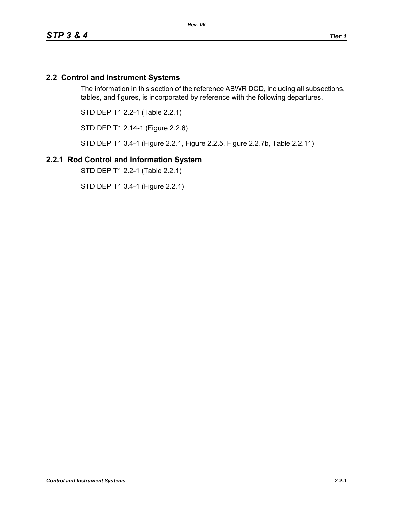## **2.2 Control and Instrument Systems**

The information in this section of the reference ABWR DCD, including all subsections, tables, and figures, is incorporated by reference with the following departures.

STD DEP T1 2.2-1 (Table 2.2.1)

STD DEP T1 2.14-1 (Figure 2.2.6)

STD DEP T1 3.4-1 (Figure 2.2.1, Figure 2.2.5, Figure 2.2.7b, Table 2.2.11)

#### **2.2.1 Rod Control and Information System**

STD DEP T1 2.2-1 (Table 2.2.1)

STD DEP T1 3.4-1 (Figure 2.2.1)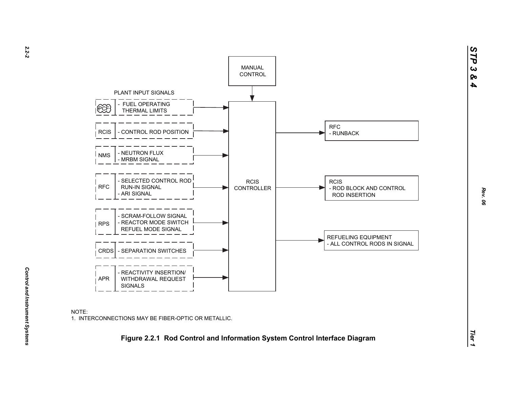

*STP 3 & 4*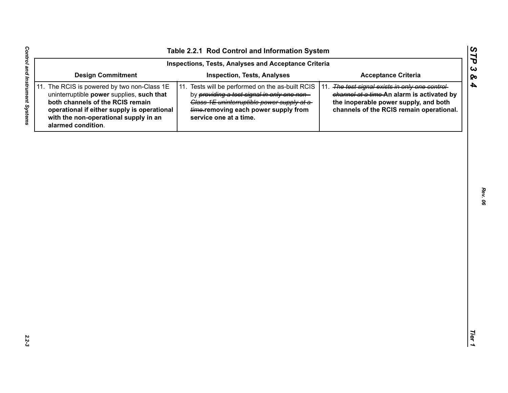| Inspections, Tests, Analyses and Acceptance Criteria                                                                                                                                                                                       |                                                                                                                                                                                                                  |                                                                                                                                                                                    |  |  |  |  |  |  |
|--------------------------------------------------------------------------------------------------------------------------------------------------------------------------------------------------------------------------------------------|------------------------------------------------------------------------------------------------------------------------------------------------------------------------------------------------------------------|------------------------------------------------------------------------------------------------------------------------------------------------------------------------------------|--|--|--|--|--|--|
| <b>Design Commitment</b>                                                                                                                                                                                                                   | <b>Inspection, Tests, Analyses</b>                                                                                                                                                                               | <b>Acceptance Criteria</b>                                                                                                                                                         |  |  |  |  |  |  |
| 11. The RCIS is powered by two non-Class 1E<br>uninterruptible power supplies, such that<br>both channels of the RCIS remain<br>operational if either supply is operational<br>with the non-operational supply in an<br>alarmed condition. | 11. Tests will be performed on the as-built RCIS<br>by providing a test signal in only one non-<br>Class 1E uninterruptible power supply at a-<br>time-removing each power supply from<br>service one at a time. | 11. The test signal exists in only one control-<br>channel at a time-An alarm is activated by<br>the inoperable power supply, and both<br>channels of the RCIS remain operational. |  |  |  |  |  |  |
|                                                                                                                                                                                                                                            |                                                                                                                                                                                                                  |                                                                                                                                                                                    |  |  |  |  |  |  |
|                                                                                                                                                                                                                                            |                                                                                                                                                                                                                  |                                                                                                                                                                                    |  |  |  |  |  |  |
|                                                                                                                                                                                                                                            |                                                                                                                                                                                                                  |                                                                                                                                                                                    |  |  |  |  |  |  |
|                                                                                                                                                                                                                                            |                                                                                                                                                                                                                  |                                                                                                                                                                                    |  |  |  |  |  |  |
|                                                                                                                                                                                                                                            |                                                                                                                                                                                                                  |                                                                                                                                                                                    |  |  |  |  |  |  |
|                                                                                                                                                                                                                                            |                                                                                                                                                                                                                  |                                                                                                                                                                                    |  |  |  |  |  |  |
|                                                                                                                                                                                                                                            |                                                                                                                                                                                                                  |                                                                                                                                                                                    |  |  |  |  |  |  |
|                                                                                                                                                                                                                                            |                                                                                                                                                                                                                  |                                                                                                                                                                                    |  |  |  |  |  |  |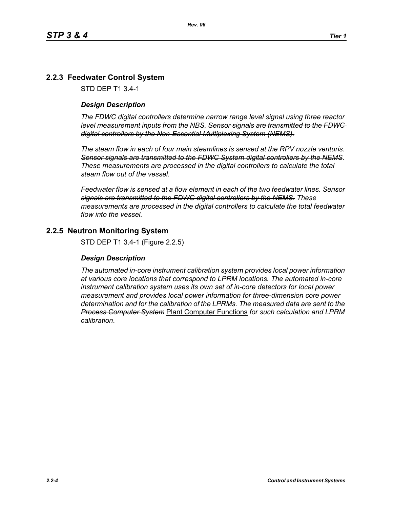# **2.2.3 Feedwater Control System**

STD DEP T1 3.4-1

#### *Design Description*

*The FDWC digital controllers determine narrow range level signal using three reactor level measurement inputs from the NBS. Sensor signals are transmitted to the FDWC digital controllers by the Non-Essential Multiplexing System (NEMS).*

*The steam flow in each of four main steamlines is sensed at the RPV nozzle venturis. Sensor signals are transmitted to the FDWC System digital controllers by the NEMS. These measurements are processed in the digital controllers to calculate the total steam flow out of the vessel.*

*Feedwater flow is sensed at a flow element in each of the two feedwater lines. Sensor signals are transmitted to the FDWC digital controllers by the NEMS. These measurements are processed in the digital controllers to calculate the total feedwater flow into the vessel.*

#### **2.2.5 Neutron Monitoring System**

STD DEP T1 3.4-1 (Figure 2.2.5)

#### *Design Description*

*The automated in-core instrument calibration system provides local power information at various core locations that correspond to LPRM locations. The automated in-core instrument calibration system uses its own set of in-core detectors for local power measurement and provides local power information for three-dimension core power determination and for the calibration of the LPRMs. The measured data are sent to the Process Computer System* Plant Computer Functions *for such calculation and LPRM calibration*.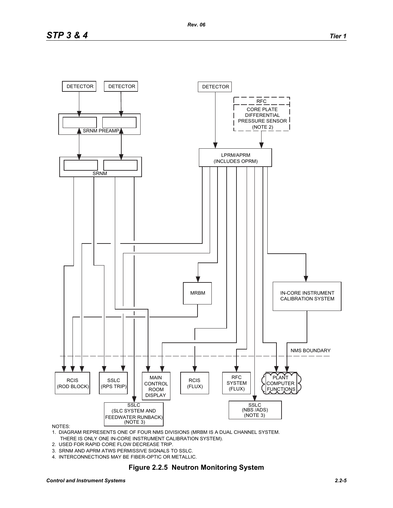

#### NOTES:

- 1. DIAGRAM REPRESENTS ONE OF FOUR NMS DIVISIONS (MRBM IS A DUAL CHANNEL SYSTEM. THERE IS ONLY ONE IN-CORE INSTRUMENT CALIBRATION SYSTEM).
- 2. USED FOR RAPID CORE FLOW DECREASE TRIP.
- 3. SRNM AND APRM ATWS PERMISSIVE SIGNALS TO SSLC.
- 4. INTERCONNECTIONS MAY BE FIBER-OPTIC OR METALLIC.

#### **Figure 2.2.5 Neutron Monitoring System**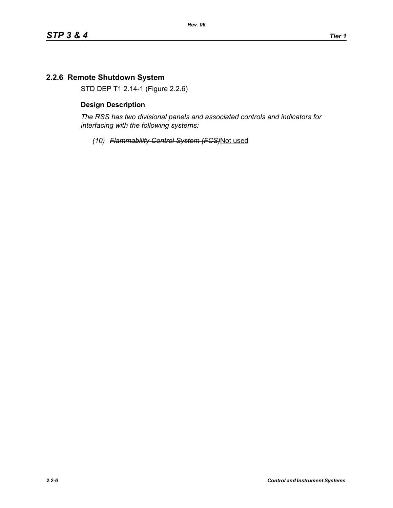# **2.2.6 Remote Shutdown System**

STD DEP T1 2.14-1 (Figure 2.2.6)

#### **Design Description**

*The RSS has two divisional panels and associated controls and indicators for interfacing with the following systems:*

*(10) Flammability Control System (FCS)*Not used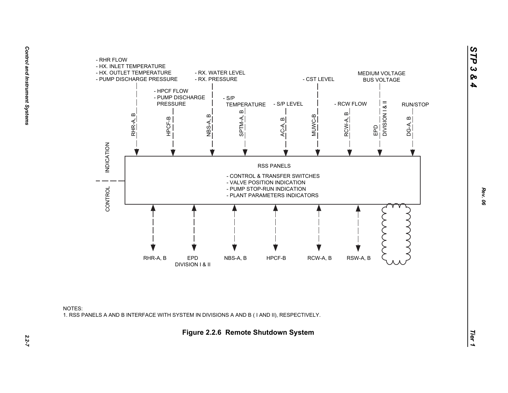

NOTES:1. RSS PANELS A AND B INTERFACE WITH SYSTEM IN DIVISIONS A AND B ( I AND II), RESPECTIVELY.

*STP 3 & 4*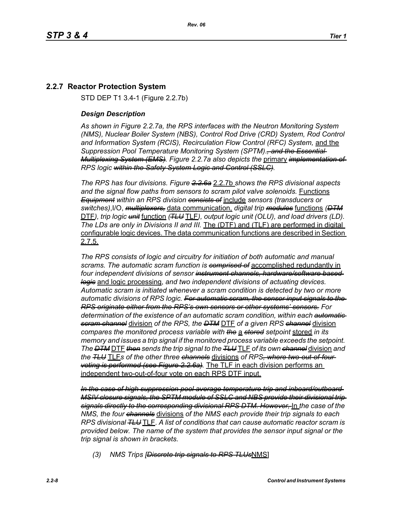# **2.2.7 Reactor Protection System**

STD DEP T1 3.4-1 (Figure 2.2.7b)

#### *Design Description*

*As shown in Figure 2.2.7a, the RPS interfaces with the Neutron Monitoring System (NMS), Nuclear Boiler System (NBS), Control Rod Drive (CRD) System, Rod Control and Information System (RCIS), Recirculation Flow Control (RFC) System,* and the *Suppression Pool Temperature Monitoring System (SPTM)*.*, and the Essential Multiplexing System (EMS). Figure 2.2.7a also depicts the* primary *implementation of RPS logic within the Safety System Logic and Control (SSLC).*

*The RPS has four divisions. Figure 2.2.6a* 2.2.7b *shows the RPS divisional aspects and the signal flow paths from sensors to scram pilot valve solenoids.* Functions *Equipment within an RPS division consists of* include *sensors (transducers or switches)*,I/O, *multiplexers,* data communication, *digital trip modules* functions *(DTM* DTF*), trip logic unit* function *(TLU* TLF*), output logic unit (OLU), and load drivers (LD). The LDs are only in Divisions II and III.* The (DTF) and (TLF) are performed in digital configurable logic devices. The data communication functions are described in Section 2.7.5.

*The RPS consists of logic and circuitry for initiation of both automatic and manual scrams. The automatic scram function is comprised of* accomplished redundantly in *four independent divisions of sensor instrument channels, hardware/software based logic* and logic processing, *and two independent divisions of actuating devices. Automatic scram is initiated whenever a scram condition is detected by two or more automatic divisions of RPS logic. For automatic scram, the sensor input signals to the RPS originate either from the RPS's own sensors or other systems' sensors. For determination of the existence of an automatic scram condition, within each automatic scram channel* division *of the RPS, the DTM* DTF *of a given RPS channel* division *compares the monitored process variable with the* a *stored setpoint* stored *in its memory and issues a trip signal if the monitored process variable exceeds the setpoint. The DTM* DTF *then sends the trip signal to the TLU* TLF *of its own channel* division *and the TLU* TLF*s of the other three channels* divisions *of RPS, where two-out-of-four voting is performed (see Figure 2.2.6a).* The TLF in each division performs an independent two-out-of-four vote on each RPS DTF input.

*In the case of high suppression pool average temperature trip and inboard/outboard MSIV closure signals, the SPTM module of SSLC and NBS provide their divisional trip signals directly to the corresponding divisional RPS DTM. However,* In *the case of the NMS, the four channels* divisions *of the NMS each provide their trip signals to each RPS divisional TLU* TLF. *A list of conditions that can cause automatic reactor scram is provided below. The name of the system that provides the sensor input signal or the trip signal is shown in brackets.*

*(3) NMS Trips [Discrete trip signals to RPS TLUs*NMS]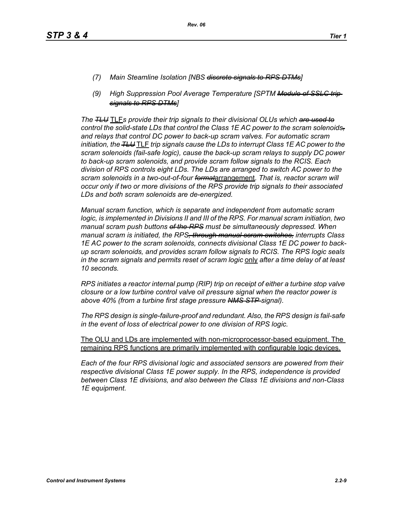- *(7) Main Steamline Isolation [NBS discrete signals to RPS DTMs]*
- *(9) High Suppression Pool Average Temperature [SPTM Module of SSLC trip signals to RPS DTMs]*

*The TLU* TLF*s provide their trip signals to their divisional OLUs which are used to control the solid-state LDs that control the Class 1E AC power to the scram solenoids, and relays that control DC power to back-up scram valves. For automatic scram initiation, the TLU* TLF *trip signals cause the LDs to interrupt Class 1E AC power to the scram solenoids (fail-safe logic), cause the back-up scram relays to supply DC power to back-up scram solenoids, and provide scram follow signals to the RCIS. Each division of RPS controls eight LDs. The LDs are arranged to switch AC power to the scram solenoids in a two-out-of-four format*arrangement. *That is, reactor scram will occur only if two or more divisions of the RPS provide trip signals to their associated LDs and both scram solenoids are de-energized.*

*Manual scram function, which is separate and independent from automatic scram logic, is implemented in Divisions II and III of the RPS. For manual scram initiation, two manual scram push buttons of the RPS must be simultaneously depressed. When manual scram is initiated, the RPS, through manual scram switches, interrupts Class 1E AC power to the scram solenoids, connects divisional Class 1E DC power to backup scram solenoids, and provides scram follow signals to RCIS. The RPS logic seals in the scram signals and permits reset of scram logic* only *after a time delay of at least 10 seconds.*

*RPS initiates a reactor internal pump (RIP) trip on receipt of either a turbine stop valve closure or a low turbine control valve oil pressure signal when the reactor power is above 40% (from a turbine first stage pressure NMS STP signal).*

*The RPS design is single-failure-proof and redundant. Also, the RPS design is fail-safe in the event of loss of electrical power to one division of RPS logic.*

The OLU and LDs are implemented with non-microprocessor-based equipment. The remaining RPS functions are primarily implemented with configurable logic devices.

*Each of the four RPS divisional logic and associated sensors are powered from their respective divisional Class 1E power supply. In the RPS, independence is provided between Class 1E divisions, and also between the Class 1E divisions and non-Class 1E equipment.*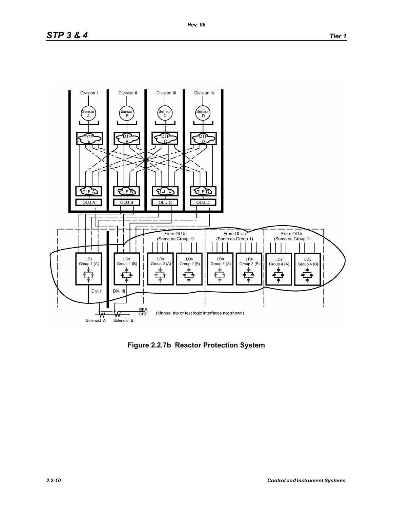Division III

# *STP 3 & 4 Tier 1*

Division I

Division II





Division IV

**Figure 2.2.7b Reactor Protection System**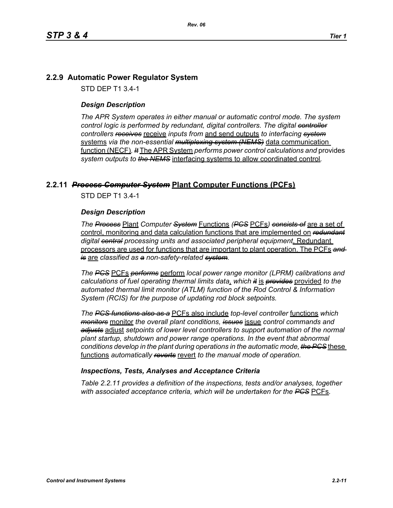# **2.2.9 Automatic Power Regulator System**

STD DEP T1 3.4-1

#### *Design Description*

*The APR System operates in either manual or automatic control mode. The system control logic is performed by redundant, digital controllers. The digital controller controllers receives* receive *inputs from* and send outputs *to interfacing system* systems *via the non-essential multiplexing system (NEMS)* data communication function (NECF)*. It* The APR System *performs power control calculations and* provides *system outputs to the NEMS* interfacing systems to allow coordinated control*.*

## **2.2.11** *Process Computer System* **Plant Computer Functions (PCFs)**

STD DEP T1 3.4-1

#### *Design Description*

*The Process* Plant *Computer System* Functions *(PCS* PCFs*) consists of* are a set of control, monitoring and data calculation functions that are implemented on *redundant digital central processing units and associated peripheral equipment*. Redundant processors are used for functions that are important to plant operation. The PCFs *and is* are *classified as a non-safety-related system.*

*The PCS* PCFs *performs* perform *local power range monitor (LPRM) calibrations and calculations of fuel operating thermal limits data*, *which it* is *provides* provided *to the automated thermal limit monitor (ATLM) function of the Rod Control & Information System (RCIS) for the purpose of updating rod block setpoints.*

*The PCS functions also as a* PCFs also include *top-level controller* functions *which monitors* monitor *the overall plant conditions, issues* issue *control commands and adjusts* adjust *setpoints of lower level controllers to support automation of the normal plant startup, shutdown and power range operations. In the event that abnormal conditions develop in the plant during operations in the automatic mode, the PCS* these functions *automatically reverts* revert *to the manual mode of operation.*

#### *Inspections, Tests, Analyses and Acceptance Criteria*

*Table 2.2.11 provides a definition of the inspections, tests and/or analyses, together with associated acceptance criteria, which will be undertaken for the PCS* PCFs*.*